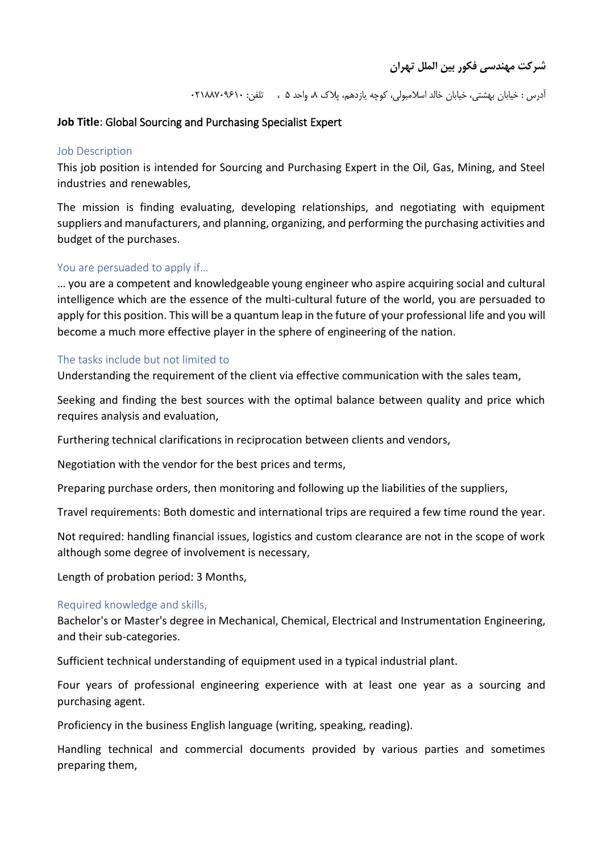آدرس : خیابان بهشتی، خیابان خالد اسلامبولی، کوچه یازدهم، پلاک ۸، واحد ۵ ، تلفن: ۰۲۱۸۸۷۰۹۶۱

# **Job Title**: Global Sourcing and Purchasing Specialist Expert

#### Job Description

This job position is intended for Sourcing and Purchasing Expert in the Oil, Gas, Mining, and Steel industries and renewables,

The mission is finding evaluating, developing relationships, and negotiating with equipment suppliers and manufacturers, and planning, organizing, and performing the purchasing activities and budget of the purchases.

### You are persuaded to apply if…

… you are a competent and knowledgeable young engineer who aspire acquiring social and cultural intelligence which are the essence of the multi-cultural future of the world, you are persuaded to apply for this position. This will be a quantum leap in the future of your professional life and you will become a much more effective player in the sphere of engineering of the nation.

#### The tasks include but not limited to

Understanding the requirement of the client via effective communication with the sales team,

Seeking and finding the best sources with the optimal balance between quality and price which requires analysis and evaluation,

Furthering technical clarifications in reciprocation between clients and vendors,

Negotiation with the vendor for the best prices and terms,

Preparing purchase orders, then monitoring and following up the liabilities of the suppliers,

Travel requirements: Both domestic and international trips are required a few time round the year.

Not required: handling financial issues, logistics and custom clearance are not in the scope of work although some degree of involvement is necessary,

Length of probation period: 3 Months,

### Required knowledge and skills,

Bachelor's or Master's degree in Mechanical, Chemical, Electrical and Instrumentation Engineering, and their sub-categories.

Sufficient technical understanding of equipment used in a typical industrial plant.

Four years of professional engineering experience with at least one year as a sourcing and purchasing agent.

Proficiency in the business English language (writing, speaking, reading).

Handling technical and commercial documents provided by various parties and sometimes preparing them,